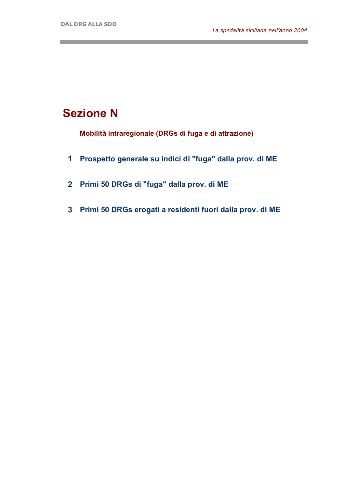and the state of the state of the state of

and the control of the control of the

## **Sezione N**

**Mobilità intraregionale (DRGs di fuga e di attrazione)**

- **1 Prospetto generale su indici di "fuga" dalla prov. di ME**
- **2 Primi 50 DRGs di "fuga" dalla prov. di ME**
- **3 Primi 50 DRGs erogati a residenti fuori dalla prov. di ME**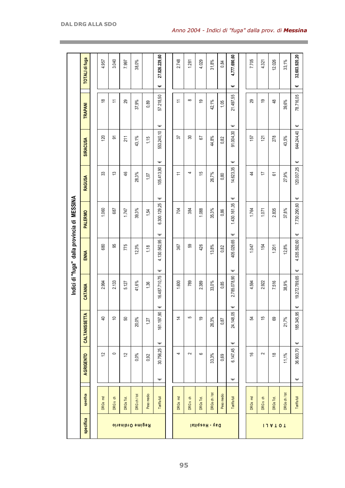|                         |                                 |           |                |                |                    |   |              | Indici di "fuga" dalla provincia di MESSINA |                 |                 |     |                          |   |                       |
|-------------------------|---------------------------------|-----------|----------------|----------------|--------------------|---|--------------|---------------------------------------------|-----------------|-----------------|-----|--------------------------|---|-----------------------|
| specifica               | specifica                       | AGRIGENTO |                | CALTANISSETTA  | CATANIA            |   | ENNA         | <b>PALERMO</b>                              | RAGUSA          | <b>SIRACUSA</b> |     | <b>TRAPANI</b>           |   | <b>TOTALI di fuga</b> |
|                         |                                 |           |                |                |                    |   |              |                                             |                 |                 |     |                          |   |                       |
|                         | $\overline{\mathsf{E}}$<br>DRGs |           | $\overline{c}$ | $\overline{4}$ | 2.994              |   | 680          | 1.060                                       | 33              |                 | 120 | $\frac{8}{1}$            |   | 4.957                 |
|                         | DRG <sub>s</sub> ch             |           | $\circ$        | $\tilde{0}$    | 2.133              |   | 95           | 687                                         | 13              |                 | ଚ   | $\overline{\overline{}}$ |   | 3.040                 |
|                         | DRGs Tot.                       |           | $\tilde{c}$    | S)             | 5.127              |   | 775          | 1.747                                       | $\frac{4}{5}$   | 211             |     | 29                       |   | 7.997                 |
| <b>Regime Ordinario</b> | DRG ch / tot                    | $0,0\%$   |                | 20,0%          | 41,6%              |   | 12.3%        | 39,3%                                       | 28,3%           | 43,1%           |     | 37,9%                    |   | 38,0%                 |
|                         | Peso medio                      | 0,92      |                | 1,27           | 1,36               |   | 1,18         | 1,54                                        | 1,07            | 1,15            |     | 0,89                     |   |                       |
|                         | Tariffa full                    | Ψ         | Ψ<br>30.756,25 | 161.197,90     | 16.487.710,75<br>Ψ | Ψ | 4.130.562,95 | 6.300.129,25<br>Ψ                           | 105.413,90<br>Ψ | 553.240,10<br>Ψ | Ψ   | 57.218,50                | Ψ | 27.826.229,60         |
|                         |                                 |           |                |                |                    |   |              |                                             |                 |                 |     |                          |   |                       |
|                         | DRGs md                         |           | 4              | 4              | 1.600              |   | 367          | 704                                         | $\overline{1}$  |                 | 57  | $\overline{\overline{}}$ |   | 2.748                 |
|                         | DRG <sub>s</sub> ch             |           | $\sim$         | 5              | 789                |   | S9           | 384                                         | 4               |                 | 30  | $\infty$                 |   | 1.281                 |
| Day - Hospital          | DRGs Tot.                       |           | $\rm \infty$   | စ္             | 2.389              |   | 426          | 1.088                                       | 15              |                 | 5   | စ္                       |   | 4.029                 |
|                         | DRGs ch / tot                   | 33,3%     |                | 26,3%          | 33,0%              |   | 13,8%        | 35,3%                                       | 26,7%           | 44,8%           |     | 42,1%                    |   | 31,8%                 |
|                         | Peso medio                      | 0,69      |                | 0,87           | 0,85               |   | 0,82         | 0,86                                        | 0,80            | 0,82            |     | 1,05                     |   | 0,84                  |
|                         | Tariffa full                    | Ψ         | Ψ<br>6.147,45  | 24.148,05      | 2.785.078,90<br>Ψ  | Ψ | 405.029,65   | 1,430.161,35<br>Ψ                           | 14.623,35<br>Ψ  | 91.004,30<br>Ψ  | Ψ   | 21.497,55                | Ψ | 4.777.690,60          |
|                         |                                 |           |                |                |                    |   |              |                                             |                 |                 |     |                          |   |                       |
|                         | DRGs md                         |           | $\frac{6}{5}$  | £,             | 4.594              |   | 1.047        | 1.764                                       | $\ddot{a}$      |                 | 157 | 29                       |   | 7.705                 |
|                         | DRG <sub>s</sub> ch             |           | 2              | 15             | 2.922              |   | 154          | 1.071                                       | 17              |                 | 121 | é,                       |   | 4.321                 |
| 114101                  | DRGs Tot.                       |           | 18             | 89             | 7.516              |   | 1.201        | 2.835                                       | 61              |                 | 278 | \$                       |   | 12.026                |
|                         | DRGs ch / tot                   | 11,1%     |                | 21,7%          | 38,9%              |   | 12,8%        | 37,8%                                       | 27,9%           | 43,5%           |     | 39,6%                    |   | 33,1%                 |
|                         | Tariffa full                    | Ψ         | Ψ<br>36.903,70 | 185.345,95     | 19.272.789,65<br>Ψ | Ψ | 4.535.592,60 | 7.730.290,60<br>Ψ                           | 120.037,25<br>Ψ | 644.244,40<br>Ψ | Ψ   | 78.716,05                | Ψ | 32.603.920,20         |

a sa mga bangay na mga bangay na mga bangay ng mga bangay ng mga bangay ng mga bangay ng mga bangay ng mga ban

**The State**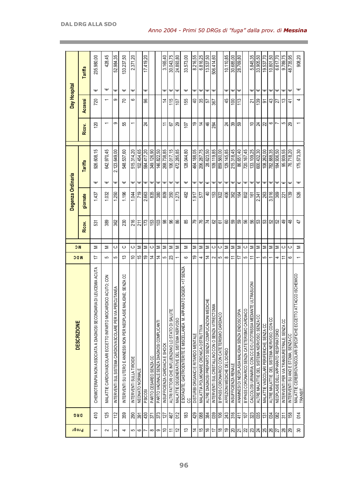| Progr                                                                                         | <b>DRG</b>        | <b>DESCRIZIONE</b>                                                            | <b>NDC</b>               | <b>NC</b> |                    | Degenza Ordinaria |                                |                          | Day Hospital             |   |            |
|-----------------------------------------------------------------------------------------------|-------------------|-------------------------------------------------------------------------------|--------------------------|-----------|--------------------|-------------------|--------------------------------|--------------------------|--------------------------|---|------------|
|                                                                                               |                   |                                                                               |                          |           | giornate<br>Ricov. |                   | <b>Tariffa</b>                 | Ricov.                   | Accessi                  |   | Tariffa    |
| $\overline{\phantom{0}}$                                                                      | 410               | RIA DI LEUCEMIA ACUTA<br>CHEMIOTERAPIA NON ASSOCIATA A DIAGNOSI SECONDA       | ≒                        | Σ         | 531                | 1.437             | 926.608,15<br>Ψ                | <b>20</b>                | 720                      | Ψ | 235.980,00 |
| $\sim$                                                                                        | 125               | RDICO ACUTO; CON<br>MALATTIE CARDIOVASCOLARI ECCETTO INFARTO MIOCA            | 5                        | Σ         | 389                | 1.032             | 642.970,45<br>Ψ                |                          | $\overline{\phantom{0}}$ | Ψ | 428,45     |
| S                                                                                             | 112               | ERCUTANEA<br>INTERVENTI SUL SISTEMA CARDIOVASCOLARE PER VIA F                 | 5                        | ပ         | 362                | 1.250             | 2.123.649,00<br>Ψ              | တ                        | တ                        | Ψ | 52.984,35  |
| 4                                                                                             | 359               | MALIGNE; SENZA CC<br>INTERVENTI SU UTERO E ANNESSI NON PER NEOPLASIE          | $\tilde{c}$              | ပ         | 230                | 1,196             | 548.537,60<br>$\mathsf \omega$ | 55                       | R                        | Ψ | 33.237,50  |
| $\sigma$                                                                                      |                   | INTERVENTI SULLA TIROIDE                                                      | ₽                        | ပ         | 216                | 1.044             | 515.314,20<br>Ψ                |                          | 6                        | Ψ | 2.371,20   |
| $\frac{1}{2}$                                                                                 | <u>ឌ្ឌន្ត្រន្</u> | NEONATO NORMALE                                                               | 15                       | Σ         | 211                | 719               | 102.454.65<br>Ψ                |                          |                          |   |            |
|                                                                                               |                   | <b>PSICOSI</b>                                                                | é,                       | Σ         | 173                | 2.663             | 584.417.20<br>Ψ                | 24                       | ൠ                        | Ψ | 17.419,20  |
| $\infty$                                                                                      | 371               | PARTO CESAREO SENZA CC                                                        | $\overline{4}$           | ပ         | 153                | 835               | 349.126,90<br>$\mathsf \omega$ |                          |                          |   |            |
| တ                                                                                             | $\overline{373}$  | PARTO VAGINALE SENZA DIAGNOSI COMPLICANTI                                     | $\overline{4}$           | Σ         | 103                | န္တြ              | 146,822.50<br>$\mathsf \omega$ |                          |                          |   |            |
| $\approx$                                                                                     | 127               | INSUFFICIENZA CARDIACA E SHOCK                                                | 5                        | Σ         | 88                 | 809               | 268.738,85<br>Ψ                | $\tilde{=}$              | 4                        | Ψ | 3.165,40   |
| Ξ                                                                                             | 467               | ALTRI FATTORI CHE INFLUENZANO LO STATO DI SALUTE                              | 23                       | Σ         | 8                  | 350               | 106.017,15<br>$\mathsf \omega$ | 5                        | 115                      | Ψ | 30.043.75  |
| $\tilde{c}$                                                                                   | 012               | MALATTIE DEGENERATIVE DEL SISTEMA NERVOSO                                     |                          | Σ         | 88                 | 273               | 472.285,85<br>$\mathsf \omega$ | 29                       | 107                      | Ψ | 24.893,80  |
| చ                                                                                             | $\frac{83}{2}$    | RATO DIGER. >17 SENZA<br>ESOFAGITE; GASTROENTERITE E MISCELLANEA M. APPA<br>႘ | $\circ$                  | Σ         | 85                 | 482               | 128.044,80<br>$\mathsf \omega$ | $\overline{10}$          | 55                       | Ψ | 33.573,00  |
| $\overline{4}$                                                                                | 429               | DISTURBI ORGANICI E RITARDO MENTALE                                           | é,                       | Σ         | 54                 | 917               | 464.188,05<br>Ψ                | é,                       | ੩                        | Ψ | 8.216,55   |
| 15                                                                                            | 080               | MALATTIA POLMONARE CRONICA OSTRUTTIVA                                         | 4                        | Σ         | 76                 | 57                | 206.287,75<br>Ψ                | $\overline{4}$           | 35                       | Ψ | 6.816,25   |
| $\frac{1}{6}$                                                                                 | 384               | <b>DICHE</b><br>ALTRE DIAGNOSI PREPARTO SENZA COMPLICAZIONI MED               | $\overline{4}$           | Σ         | 74                 | $\overline{4}$    | 28.623,50<br>Ψ                 | 46                       | 52                       | Ψ | 13.537,50  |
| 17                                                                                            | 039               | INTERVENTI SUL CRISTALLINO CON O SENZA VITRECTOMIA                            | $\sim$                   | ပ         | 29                 | 153               | 109.119,85<br>Ψ                | 284                      | 367                      | Ψ | 506.414,60 |
| ∣≌                                                                                            | $\frac{1}{6}$     | BYPASS CORONARICO CON CATETERISMO CARDIACO                                    | 5                        | ပ         | 67                 | 922               | 859.560,00<br>Ψ                |                          |                          |   |            |
| ខ $ g $ ន $ z $                                                                               | 243               | AFFEZIONI MEDICHE DEL DORSO                                                   | $\infty$                 | Σ         | 60                 | 406               | 129.145,85<br>$\mathsf \omega$ | $\overline{24}$          | 45                       | Ψ | 10.110,85  |
|                                                                                               | 316               | INSUFFICIENZA RENALE                                                          | ニ                        | Σ         | 59                 | 362               | 215.318,45<br>Ψ                | 89                       | $\overline{5}$           | Ψ | 30.685,00  |
|                                                                                               | 41                | ANAMNESI DI NEOPLASIA MALIGNA SENZA ENDOSCOPIA                                | 17                       | Σ         | င္ဟာ               | 164               | 86.651,40<br>Ψ                 | ခြွ                      | 113                      | Ψ | 28.769,80  |
| $ \mathfrak{A} \mathfrak{A} \mathfrak{A} \mathfrak{A} \mathfrak{A} \mathfrak{A} \mathfrak{A}$ | 107               | BYPASS CORONARICO SENZA CATETERISMO CARDIACO                                  | 5                        | ပ         | SG                 | 802               | 720.167,45<br>$\mathsf \omega$ |                          |                          |   |            |
|                                                                                               | 323               | <b>TE ULTRASUONI</b><br>CALCOLOSI URINARIA; CON CC E/O LITOTRISSIA MEDIAN     | ≂                        | Σ         | SG                 | $\overline{161}$  | 133.109,25<br>₩                | S                        | 72                       | Ψ | 5.845,35   |
|                                                                                               | 035               | ALTRE MALATTIE DEL SISTEMA NERVOSO; SENZA CC                                  |                          | Σ         | £3                 | 2.341             | 600.432,30<br>Φ                | 24                       | 39                       | Ψ | 33.905,50  |
|                                                                                               | $\frac{131}{2}$   | MALATT IE VASCOLARI PERIFERICHE; SENZA CC                                     | 5                        | Σ         | ន $ z $            | 263               | 108.262,00<br>Φ                | 22                       | ৯                        | Ψ | 19.537,70  |
|                                                                                               | 회회술               | ALTRE MALATTIE DEL SISTEMA NERVOSO; CON CC                                    |                          | Σ         | ន ន                | 3.016             | 782.888,35<br>$\mathsf \omega$ | ဖ                        | 43                       | Ψ | 10.801,50  |
|                                                                                               |                   | NEOPLASIE DELL'APPARATO RESPIRATORIO                                          | 4                        | Σ         |                    | 369               | 184.936,50<br>Ψ                |                          | Z2                       | Φ | 6.617,70   |
|                                                                                               |                   | INTERVENTI PER VIA TRANSURETRALE; SENZA CC                                    | Ξ                        | ပ         | 9                  | $\overline{21}$   | 95.939,55<br>Ψ                 | 5                        | చ                        | Ψ | 9.789,75   |
|                                                                                               | 158               | INTERVENTI SU ANO E STOMA; SENZA CC                                           | ဖ                        | ပ         | $\frac{8}{4}$      | 139               | 76.718,20<br>Ψ                 | 29                       | 스                        | Ψ | 48.735,95  |
| $\boldsymbol{\mathcal{S}}$                                                                    | 014               | MALATTIE CEREBROVASCOLARI SPECIFICHE ECCETTO ATTACCO ISCHEMICO<br>TRANSIT.    | $\overline{\phantom{0}}$ | Σ         | 47                 | 526               | 175.573,30<br>$\mathsf \omega$ | $\overline{\phantom{0}}$ | 4                        | Ψ | 908,20     |

**The Story** 

and the control of the control of the control of the control of the

a sa kacamatan ing Kabupatèn Kabupatèn Kabupatèn Kabupatèn Kabupatèn Kabupatèn Kabupatèn Kabupatèn Kabupatèn K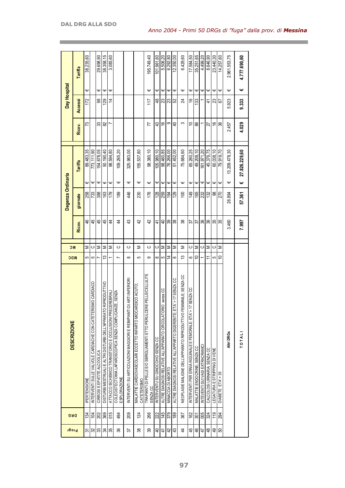| Ψ<br>Ψ<br>Ψ<br>Ψ<br>Ψ<br>Ψ<br>Ψ<br>Ψ<br>Ψ<br>Ψ<br>Ψ<br>Ψ<br>Ψ<br>Ψ<br>8<br>$\frac{6}{5}$<br>4<br>\$<br>జ<br>23<br>172<br>129<br>117<br>S.<br>24<br>133<br>4<br>73<br>တ<br>S<br>33<br>82<br>43<br>$\overset{\circ}{\phantom{\alpha}}$<br>$\overline{4}$<br>S<br>88<br>77<br>21<br>89.483,35<br>54.678.05<br>98.460,85<br>45.376,75<br>50.190,40<br>98.380,10<br>65.260,25<br>773.111.90<br>98.594,80<br>109.265,20<br>325.983,00<br>155.537,80<br>105.980.10<br>76.266,00<br>51.452.00<br>75.684,60<br>49.208.10<br>61.971.20<br>Ψ<br>Ψ<br>Ψ<br>Ψ<br>Ψ<br>Ψ<br>Ψ<br>Ψ<br>Ψ<br>Ψ<br>Ψ<br>Ψ<br>Ψ<br>Ψ<br>Ψ<br>Ψ<br>Ψ<br>Ψ<br>388<br>46<br>176<br>258<br>733<br>163<br>179<br>189<br>230<br>128<br>129<br>149<br>165<br>259<br>$\overline{0}$<br>232<br>132<br>194 | Ψ<br>g<br>$\tilde{e}$<br>60.038.10<br>Ψ<br>88 | Ψ<br>5<br>36<br>79.919.70<br>Ψ<br>270 | 2.961.553,75<br>Ψ<br>5.923<br>2.457<br>13.209.478,30<br>Ψ<br>26.894 |
|----------------------------------------------------------------------------------------------------------------------------------------------------------------------------------------------------------------------------------------------------------------------------------------------------------------------------------------------------------------------------------------------------------------------------------------------------------------------------------------------------------------------------------------------------------------------------------------------------------------------------------------------------------------------------------------------------------------------------------------------------------------|-----------------------------------------------|---------------------------------------|---------------------------------------------------------------------|
|                                                                                                                                                                                                                                                                                                                                                                                                                                                                                                                                                                                                                                                                                                                                                                |                                               |                                       |                                                                     |
|                                                                                                                                                                                                                                                                                                                                                                                                                                                                                                                                                                                                                                                                                                                                                                |                                               |                                       |                                                                     |
|                                                                                                                                                                                                                                                                                                                                                                                                                                                                                                                                                                                                                                                                                                                                                                |                                               |                                       |                                                                     |
|                                                                                                                                                                                                                                                                                                                                                                                                                                                                                                                                                                                                                                                                                                                                                                |                                               |                                       |                                                                     |
| 43<br>$\overline{4}$<br>42<br>39<br>38<br>38<br>36<br>86<br>$\overline{4}$<br>4<br>$\overline{4}$<br>57<br>4<br>ᢛ                                                                                                                                                                                                                                                                                                                                                                                                                                                                                                                                                                                                                                              | 35                                            | 35                                    | 3.460                                                               |
| ပ<br>ပ<br>Σ<br>Σ<br>ပ<br>Σ<br>ပ<br>Σ<br>Σ<br>ပ<br>ပ<br>Σ<br>Σ                                                                                                                                                                                                                                                                                                                                                                                                                                                                                                                                                                                                                                                                                                  | ပ                                             | Σ                                     |                                                                     |
| $\Rightarrow$<br>4<br>13<br>Ξ<br>ဖ<br>ဖ<br>$\infty$<br>5<br>တ<br>∞<br>5                                                                                                                                                                                                                                                                                                                                                                                                                                                                                                                                                                                                                                                                                        | 5                                             | $\cong$                               |                                                                     |
| TRAPIANTI DI PELLE E/O SBRIGLIAMENTI ETTO PERULCERE PELLE/CELLULITE<br>NEOPLASIE MALIGNE DELL'APPARATO RIPRODUTTIVO FEMMINILE; SENZA CC<br>DI ARTI INFERIORI<br>$\mathsf{I} \mathsf{A}$ > 17 SENZACC<br>MALATTIE CARDIOVASCOLARI ECCETTO INFARTO MIOCARDICO ACUTO;<br>7 SENZA CC<br>ALTRE DIAGNOSI RELATIVE ALL'APPARATO CIRCOLATORIO senza CC<br>ALTRE DIAGNOSI RELATIVE ALL'APPARTO DIGERENTE; ET<br>INTERVENTI SU ARTICOLAZIONI MAGGIORI E REIMPIANTI<br>INTERVENTI PER ERNIA INGUINALE E FEMORALE; ETA'><br>INTERVENTU SU GINOCCHIO SENZA CC<br>INTEVENTI SUI VASI EXTRACRANICI<br><b>MALATTIE ENDOCRINE: SENZA CC</b><br>CALCOLOSI URINARIA; SENZA CC<br>MINACCIA DI ABORTO<br>CATETERISMO<br>SENZA CC                                                    | LEGATURA E STRIPPING DI VENE                  | DIABETE ETA'> 35                      | Altri DRGs                                                          |
|                                                                                                                                                                                                                                                                                                                                                                                                                                                                                                                                                                                                                                                                                                                                                                |                                               |                                       |                                                                     |
| 266                                                                                                                                                                                                                                                                                                                                                                                                                                                                                                                                                                                                                                                                                                                                                            |                                               |                                       |                                                                     |
| 222                                                                                                                                                                                                                                                                                                                                                                                                                                                                                                                                                                                                                                                                                                                                                            |                                               |                                       |                                                                     |
| 145                                                                                                                                                                                                                                                                                                                                                                                                                                                                                                                                                                                                                                                                                                                                                            |                                               |                                       |                                                                     |
| 379<br>367<br>162<br>301                                                                                                                                                                                                                                                                                                                                                                                                                                                                                                                                                                                                                                                                                                                                       | 119                                           |                                       |                                                                     |
| 005<br>189<br>324                                                                                                                                                                                                                                                                                                                                                                                                                                                                                                                                                                                                                                                                                                                                              |                                               | 294                                   |                                                                     |
|                                                                                                                                                                                                                                                                                                                                                                                                                                                                                                                                                                                                                                                                                                                                                                |                                               |                                       |                                                                     |
|                                                                                                                                                                                                                                                                                                                                                                                                                                                                                                                                                                                                                                                                                                                                                                |                                               |                                       |                                                                     |
|                                                                                                                                                                                                                                                                                                                                                                                                                                                                                                                                                                                                                                                                                                                                                                |                                               |                                       |                                                                     |
|                                                                                                                                                                                                                                                                                                                                                                                                                                                                                                                                                                                                                                                                                                                                                                |                                               |                                       |                                                                     |
|                                                                                                                                                                                                                                                                                                                                                                                                                                                                                                                                                                                                                                                                                                                                                                |                                               |                                       |                                                                     |
|                                                                                                                                                                                                                                                                                                                                                                                                                                                                                                                                                                                                                                                                                                                                                                |                                               |                                       |                                                                     |

and the control of the control of the control of the control of the control of the control of the control of the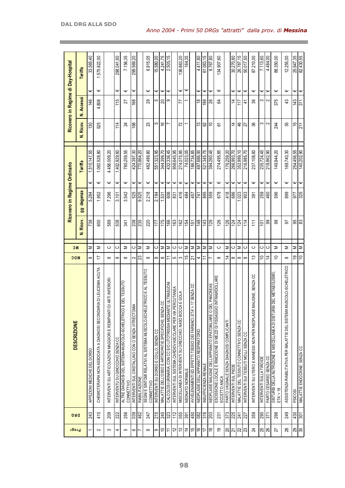| Progr           |                 | <b>DESCRIZIONE</b>                                                                     |                | <b>NC</b> |                | Ricovero in Regime Ordinario |                  |              |               |                   |                  | Ricovero in Regime di Day-Hospital |
|-----------------|-----------------|----------------------------------------------------------------------------------------|----------------|-----------|----------------|------------------------------|------------------|--------------|---------------|-------------------|------------------|------------------------------------|
|                 | <b>DRG</b>      |                                                                                        | <b>NDC</b>     |           | Ricov.<br>ż    | degenza<br>99                |                  | Tariffa      | N. Ricov.     | <b>N. Accessi</b> |                  | Tariffa                            |
|                 | 243             | AFFEZIONI MEDICHE DEL DORSO                                                            | $\infty$       | Σ         | 739            | 5.284                        | ω                | 1.510.147,55 | 130           | 146               | Ψ                | 33.565,40                          |
| $\sim$          | 410             | RIA DI LEUCEMIA ACUTA<br>CHEMIOT ERAPIA NON ASSOCIATA A DIAGNOSI SECONDA               | 17             | Σ         | 600            | 1.952                        | $\mathsf \omega$ | 1.063.528,80 | 525           | 4.808             | Ψ                | 1.575.822,00                       |
| S               | 209             | DI ARTI INFERIORI<br>INTERVENTI SU ARTICOLAZIONI MAGGIORI E REIMPIANT                  | $\infty$       | ပ         | 589            | 7.296                        | Ψ                | 4.456.009,20 |               |                   |                  |                                    |
| 4               | 222             | INTERVENTU SU GINOCCHIO SENZA CC                                                       | $\infty$       | ပ         | 538            | 3.101                        | Ψ                | 1.402.929,60 | 114           | 115               | Ψ                | 298.041,60                         |
| 5               | 256             | E DEL TESSUTO<br>ALTRE DIAGNOSI DEL SISTEMA MUSCOLO-SCHELETRICO<br>CONNETTIVO          | $\infty$       | Σ         | 341            | 3.542                        | Ψ                | 785.259,55   | 24            | 27                | Ψ                | 7.156,35                           |
| ∽ا⇔             | 039             | MIA<br>INTERVENTI SUL CRISTALLINO CON O SENZA VITRECTOI                                | $\sim$         | $\circ$   | 238            | 525                          | Ψ                | 424.397,30   | 168           | 168               | Ψ                | 299.569,20                         |
|                 | 462             | RIABILIT AZIONE                                                                        | 23             | Σ         | 235            | 9.925                        | Ψ                | 770.864.20   |               |                   |                  |                                    |
| $\infty$        | 247             | ETRICO E AL TESSUTO<br>SEGNI E SINTOMI RELATIVI AL SISTEMA MUSCOLO-SCHEI<br>CONNETTIVO | $\infty$       | Σ         | 220            | 2.218                        | $\mathsf \omega$ | 482.489,80   | 23            | 29                | Ψ                | 6.915,05                           |
| $\infty$        | 215             | INTERVENTI SU DORSO E COLLO; SENZA CC                                                  | $\infty$       | $\circ$   | 177            | 2.194                        | Ψ                | 551.323,95   | 5             | 5                 | Ψ                | 15.580,00                          |
| $\Rightarrow$   | 245             | MALATTIE DELL'OSSO E ARTROPATIE SPECIFICHE; SENZA CC                                   | $\infty$       | ∣≅        | 175            | 1.531                        | Ψ                | 344.399,70   | $\frac{6}{5}$ | 20                | Ψ                | 4.241,75                           |
| $\tilde{r}$     | 323             | CALCOLOSI URINARIA; CON CC E/O LITOTRISSIA MEDIANTE ULTRASUONI                         | ニ              | Σ         | 166            | 606                          | $\mathsf \omega$ | 432.336,45   |               | თ                 | $\mathsf{\Psi}$  | 2.505,15                           |
| $\overline{c}$  | 112             | PERCUTANEA<br>INTERVENTI SUL SISTEMA CARDIOVASCOLARE PER VIA                           | 5              | ပ         | 163            | 831                          | $\mathsf \omega$ | 958.645,95   |               |                   |                  |                                    |
| 13              | 055             | MISCELLANEA DI INTERVENTI SU ORECCHIO; NASO BOCCA E GOLA                               | S              | ပ         | 162            | 416                          | Ψ                | 274.075,95   | 72            | 77                | Ψ                | 136.663,20                         |
| $\overline{4}$  | 391             | NEONATO NORMALE                                                                        | 15             | Σ         | 154            | 484                          | Ψ                | 74.023,05    |               |                   | Ψ                | 164,35                             |
| 15              | 450             | > 17 SENZA CC<br>AVVELENAMENTI ED EFFETTI T0SSICI DEI FARMACI; ETA'                    | 21             | Σ         | $\overline{5}$ | 457                          | Φ                | 186.734,85   |               |                   |                  |                                    |
| $\frac{6}{5}$   | 082             | NEOPLASIE DELL'APPARATO RESPIRATORIO                                                   | 4              | Σ         | 148            | 741                          | Ψ                | 497.686,00   | 13            | $\frac{8}{1}$     | Ψ                | 4.411.80                           |
| 17              | 316             | INSUFFICIENZA RENALE                                                                   | Ξ              | Σ         | 143            | 895                          | Ψ                | 521.345,75   | 29            | 199               | Ψ                | 61.063,15                          |
| $\frac{8}{10}$  | 203             | DEL PANCREAS<br>NEOPLASIE MALIGNE DELL'APPARATO EPATOBILIARE O                         | $\overline{ }$ | Σ         | 129            | 559                          | Ψ                | 394.260,45   | $\Rightarrow$ | 26                | Ψ                | 6.767,80                           |
| é,              | 231             | IO INTRAMIDOLLARE<br>ESCISSIONE LOCALE E RIMOZIONE DI MEZZI DI FISSAGG<br>ECCETTO ANCA | $\infty$       | ပ         | 126            | 678                          | $\mathsf \omega$ | 274.495,85   | 5             | \$4               | Ψ                | 134.907,60                         |
| $\approx$       | 373             | PARTO VAGINALE SENZA DIAGNOSI COMPLICANTI                                              | $\overline{4}$ | Σ         | 126            | 418                          | Ψ                | 176.259,20   |               |                   |                  |                                    |
| $\overline{21}$ | 225             | INTERVENTI SUL PIEDE                                                                   | $\infty$       | ပ         | 124            | 686                          | Ψ                | 266.993,70   | $\ddot{4}$    | 4                 | Ψ                | 30.270,80                          |
| $ z $ ಇ         | 241             | MALATTIE DEL TESSUTO CONNETTIVO; SENZA CC                                              | $\infty$       | Σ         | 124            | .023                         | Ψ                | 352.999,10   | 46            | 117               | Ψ                | 26.787,15                          |
|                 | 227             | INTERVENTI SUI TESSUTI MOLLI SENZA CC                                                  | $\infty$       | $\circ$   | 114            | 903                          | Ψ                | 216.985,70   | 27            | 4                 | Ψ                | 50.017,50                          |
| $\overline{24}$ | 359             | MALIGNE; SENZA CC<br>INTERVENTI SU UTERO E ANNESSI NON PER NEOPLASIE                   | 13             | ပ         | 111            | 391                          | Ψ                | 237.108,60   | 36            | 36                | Ψ                | 87.210,00                          |
| $\frac{8}{8}$   | $\frac{50}{25}$ | INTERVENTI SULLA TIROIDE                                                               | $\Rightarrow$  | ပ         | $\overline{5}$ | 259                          | Ψ                | 235.724,45   | S             | 3                 | €                | 7.113,60                           |
|                 |                 | PARTO CESAREO SENZA CC                                                                 | $\overline{4}$ | ပ         | 8              | 460                          | Ψ                | 218.862,90   | $\sim$        | $\sim$            | $\mathsf \Psi$   | 4.484,00                           |
| 27              | 298             | BI DEL METABOLISMO;<br>DISTURBI DELLA NUTRIZIONE E MISCELLANEA DI DISTUR<br>ETA' < 18  | ₽              | Σ         | 88             | 596                          | Ψ                | 149.944,20   | 244           | 375               | Ψ                | 88.350,00                          |
| 28              | 249             | MUSCOLO-SCHELETRICO<br>ASSISTENZA RIABILITATIVA PER MALATTIE DEL SISTEMA               | $\infty$       | Σ         | 57             | 899                          | Ψ                | 169.740,30   | 35            | 43                | Ψ                | 12.255,00                          |
| 29              | 430             | PSICOSI                                                                                | é,             | Σ         | 95             | 977                          | Ψ                | 254.456,55   | 15            | 143               | Ψ                | 25.947,35                          |
| ∣≋              | ន្ត្រ           | MALATTIE ENDOCRINE; SENZA CC                                                           | $\tilde{=}$    | Σ         | ္ဏ             | $\frac{1}{325}$              | $\mathsf \Psi$   | 140.202,90   | 211           | 311               | $\mathsf \omega$ | 82.430,55                          |

and the control of the control of the control of the control of the control of the control of the control of the